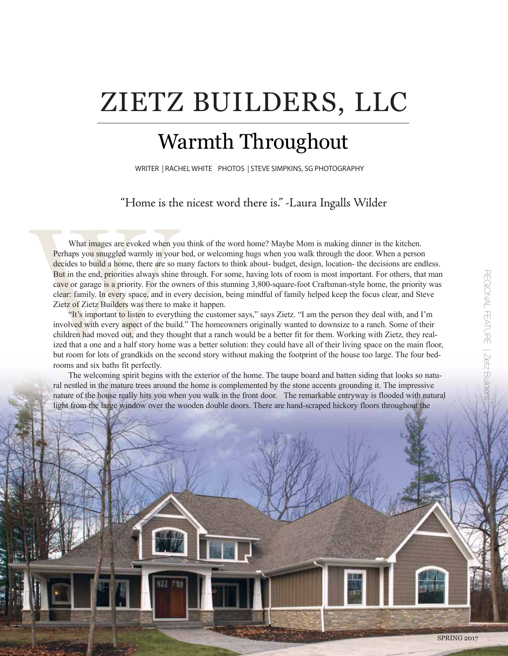# ZIETZ BUILDERS, LLC

# Warmth Throughout

WRITER | RACHEL WHITE PHOTOS | STEVE SIMPKINS, SG PHOTOGRAPHY

"Home is the nicest word there is." -Laura Ingalls Wilder

Tracture is the set of the set of the set of the set of the set of the set of the set of the set of But in the end, priorities always shine cave or garage is a priority. For the ow clear: family. In every space, and in eve What images are evoked when you think of the word home? Maybe Mom is making dinner in the kitchen. Perhaps you snuggled warmly in your bed, or welcoming hugs when you walk through the door. When a person decides to build a home, there are so many factors to think about- budget, design, location- the decisions are endless. But in the end, priorities always shine through. For some, having lots of room is most important. For others, that man cave or garage is a priority. For the owners of this stunning 3,800-square-foot Craftsman-style home, the priority was clear: family. In every space, and in every decision, being mindful of family helped keep the focus clear, and Steve Zietz of Zietz Builders was there to make it happen.

"It's important to listen to everything the customer says," says Zietz. "I am the person they deal with, and I'm involved with every aspect of the build." The homeowners originally wanted to downsize to a ranch. Some of their children had moved out, and they thought that a ranch would be a better fit for them. Working with Zietz, they realized that a one and a half story home was a better solution: they could have all of their living space on the main floor, but room for lots of grandkids on the second story without making the footprint of the house too large. The four bedrooms and six baths fit perfectly.

The welcoming spirit begins with the exterior of the home. The taupe board and batten siding that looks so natural nestled in the mature trees around the home is complemented by the stone accents grounding it. The impressive nature of the house really hits you when you walk in the front door. The remarkable entryway is flooded with natural light from the large window over the wooden double doors. There are hand-scraped hickory floors throughout the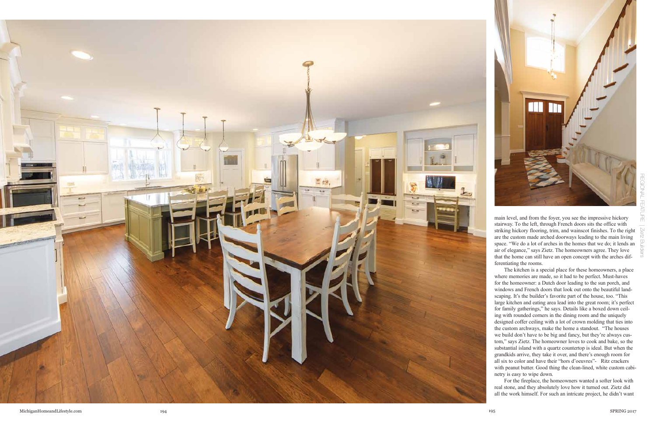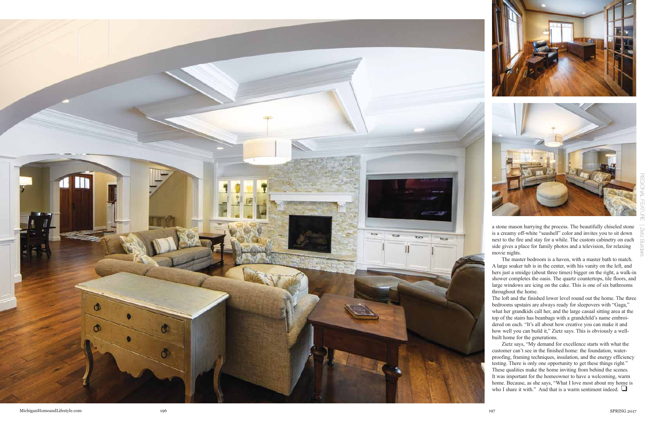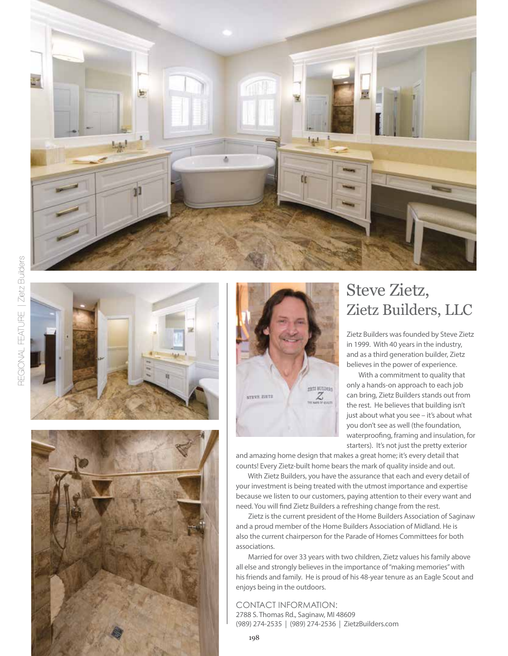







# Steve Zietz, Zietz Builders, LLC

Zietz Builders was founded by Steve Zietz in 1999. With 40 years in the industry, and as a third generation builder, Zietz believes in the power of experience.

 With a commitment to quality that only a hands-on approach to each job can bring, Zietz Builders stands out from the rest. He believes that building isn't just about what you see – it's about what you don't see as well (the foundation, waterproofing, framing and insulation, for starters). It's not just the pretty exterior

and amazing home design that makes a great home; it's every detail that counts! Every Zietz-built home bears the mark of quality inside and out.

 With Zietz Builders, you have the assurance that each and every detail of your investment is being treated with the utmost importance and expertise because we listen to our customers, paying attention to their every want and need. You will find Zietz Builders a refreshing change from the rest.

 Zietz is the current president of the Home Builders Association of Saginaw and a proud member of the Home Builders Association of Midland. He is also the current chairperson for the Parade of Homes Committees for both associations.

 Married for over 33 years with two children, Zietz values his family above all else and strongly believes in the importance of "making memories" with his friends and family. He is proud of his 48-year tenure as an Eagle Scout and enjoys being in the outdoors.

CONTACT INFORMATION: 2788 S. Thomas Rd., Saginaw, MI 48609 (989) 274-2535 | (989) 274-2536 | ZietzBuilders.com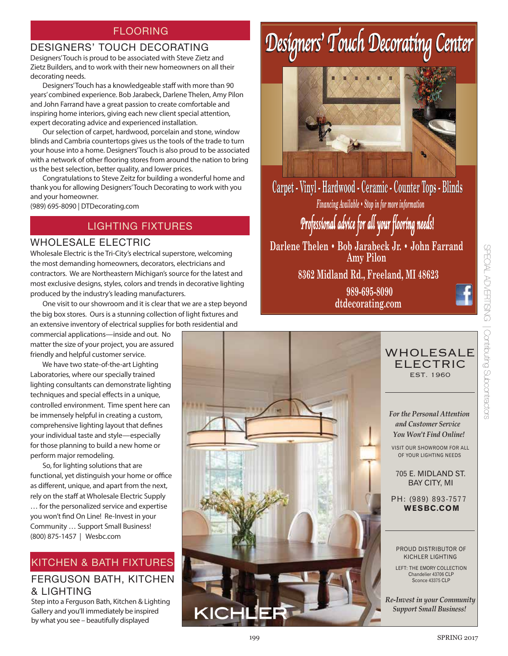### FLOORING

#### DESIGNERS' TOUCH DECORATING

Designers' Touch is proud to be associated with Steve Zietz and Zietz Builders, and to work with their new homeowners on all their decorating needs.

 Designers' Touch has a knowledgeable staff with more than 90 years' combined experience. Bob Jarabeck, Darlene Thelen, Amy Pilon and John Farrand have a great passion to create comfortable and inspiring home interiors, giving each new client special attention, expert decorating advice and experienced installation.

 Our selection of carpet, hardwood, porcelain and stone, window blinds and Cambria countertops gives us the tools of the trade to turn your house into a home. Designers' Touch is also proud to be associated with a network of other flooring stores from around the nation to bring us the best selection, better quality, and lower prices.

 Congratulations to Steve Zeitz for building a wonderful home and thank you for allowing Designers' Touch Decorating to work with you and your homeowner.

(989) 695-8090 | DTDecorating.com

## LIGHTING FIXTURES

#### WHOLESALE ELECTRIC

Wholesale Electric is the Tri-City's electrical superstore, welcoming the most demanding homeowners, decorators, electricians and contractors. We are Northeastern Michigan's source for the latest and most exclusive designs, styles, colors and trends in decorative lighting produced by the industry's leading manufacturers.

 One visit to our showroom and it is clear that we are a step beyond the big box stores. Ours is a stunning collection of light fixtures and an extensive inventory of electrical supplies for both residential and

commercial applications—inside and out. No matter the size of your project, you are assured friendly and helpful customer service.

 We have two state-of-the-art Lighting Laboratories, where our specially trained lighting consultants can demonstrate lighting techniques and special effects in a unique, controlled environment. Time spent here can be immensely helpful in creating a custom, comprehensive lighting layout that defines your individual taste and style—especially for those planning to build a new home or perform major remodeling.

 So, for lighting solutions that are functional, yet distinguish your home or office as different, unique, and apart from the next, rely on the staff at Wholesale Electric Supply … for the personalized service and expertise you won't find On Line! Re-Invest in your Community … Support Small Business! (800) 875-1457 | Wesbc.com

## FERGUSON BATH, KITCHEN & LIGHTING KITCHEN & BATH FIXTURES

Step into a Ferguson Bath, Kitchen & Lighting Gallery and you'll immediately be inspired by what you see – beautifully displayed

# *Designers' Touch Decorating Center Designers' Touch Decorating Center*



*Financing Available • Stop in for more information Professional advice for all your flooring needs!* **Carpet - Vinyl - Hardwood Hardwood - Ceramic Ceramic - Counter Counter Tops - Blinds**

**Darlene Thelen • Bob Jarabeck Jr. • John Farrand Amy Pilon**

**8362 Midland Rd., Freeland, MI 48623**

**989-695-8090 dtdecorating.com**